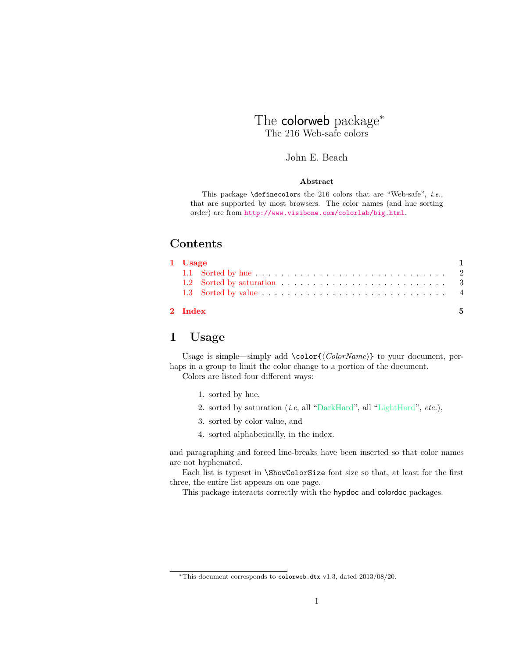# The colorweb package<sup>\*</sup> The 216 Web-safe colors

## John E. Beach

### **Abstract**

This package \definecolors the 216 colors that are "Web-safe", *i.e.*, that are supported by most browsers. The color names (and hue sorting order) are from <http://www.visibone.com/colorlab/big.html>.

# **Contents**

| 2 Index |  |  |  |  |  |  |  |  |  |  |  |  |  | 5 |
|---------|--|--|--|--|--|--|--|--|--|--|--|--|--|---|
|         |  |  |  |  |  |  |  |  |  |  |  |  |  |   |
| 1 Usage |  |  |  |  |  |  |  |  |  |  |  |  |  |   |

# <span id="page-0-0"></span>**1 Usage**

Usage is simple—simply add \color{\*ColorName*}} to your document, perhaps in a group to limit the color change to a portion of the document. Colors are listed four different ways:

- 1. sorted by hue,
- 2. sorted by saturation (*i.e*, all "DarkHard", all "LightHard", *etc.*),
- 3. sorted by color value, and
- 4. sorted alphabetically, in the index.

and paragraphing and forced line-breaks have been inserted so that color names are not hyphenated.

Each list is typeset in \ShowColorSize font size so that, at least for the first three, the entire list appears on one page.

This package interacts correctly with the hypdoc and colordoc packages.

<sup>∗</sup>This document corresponds to colorweb.dtx v1.3, dated 2013/08/20.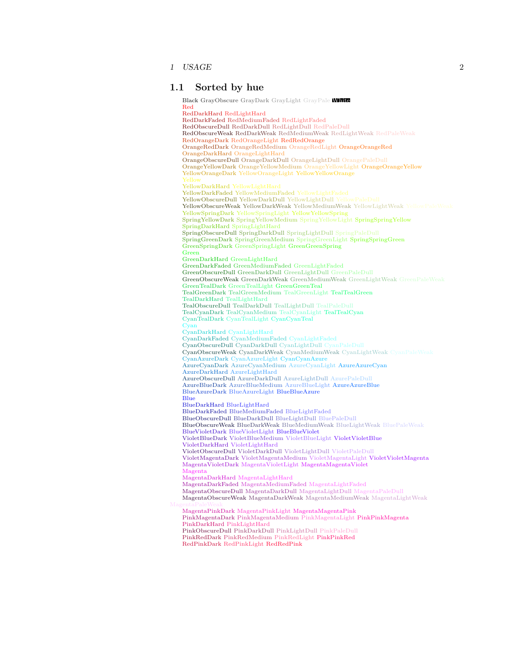1 USAGE 2

### <span id="page-1-0"></span>**1.1 Sorted by hue**

Black GrayObscure GrayDark GrayLight GrayPale White Red RedDarkHard RedLightHard RedDarkFaded RedMediumFaded RedLightFaded RedObscureDull RedDarkDull RedLightDull RedPaleDull RedObscureWeak RedDarkWeak RedMediumWeak RedLightWeak RedPaleWeak RedOrangeDark RedOrangeLight RedRedOrange OrangeRedDark OrangeRedMedium OrangeRedLight OrangeOrangeRed OrangeDarkHard OrangeLightHard OrangeObscureDull OrangeDarkDull OrangeLightDull OrangePaleDull OrangeYellowDark OrangeYellowMedium OrangeYellowLight OrangeOrangeYellow YellowOrangeDark YellowOrangeLight YellowYellowOrange YellowDarkHard YellowLightHard YellowDarkFaded YellowMediumFaded YellowLightFaded YellowObscureDull YellowDarkDull YellowLightDull YellowPaleDull YellowObscureWeak YellowDarkWeak YellowMediumWeak YellowLightWeak YellowPaleWeak YellowSpringDark YellowSpringLight YellowYellowSpring SpringYellowDark SpringYellowMedium SpringYellowLight SpringSpringYellow SpringDarkHard SpringLightHard SpringObscureDull SpringDarkDull SpringLightDull SpringPaleDull SpringGreenDark SpringGreenMedium SpringGreenLight SpringSpringGreen GreenSpringDark GreenSpringLight GreenGreenSpring Green GreenDarkHard GreenLightHard GreenDarkFaded GreenMediumFaded GreenLightFaded GreenObscureDull GreenDarkDull GreenLightDull GreenPaleDull GreenObscureWeak GreenDarkWeak GreenMediumWeak GreenLightWeak GreenPaleWeak GreenTealDark GreenTealLight GreenGreenTeal TealGreenDark TealGreenMedium TealGreenLight TealTealGreen TealDarkHard TealLightHard TealObscureDull TealDarkDull TealLightDull TealPaleDull TealCyanDark TealCyanMedium TealCyanLight TealTealCyan CyanTealDark CyanTealLight CyanCyanTeal Cyan CyanDarkHard CyanLightHard CyanDarkFaded CyanMediumFaded CyanLightFaded CyanObscureDull CyanDarkDull CyanLightDull CyanPaleDull CyanObscureWeak CyanDarkWeak CyanMediumWeak CyanLightWeak CyanPaleWeak CyanAzureDark CyanAzureLight CyanCyanAzure AzureCyanDark AzureCyanMedium AzureCyanLight AzureAzureCyan AzureDarkHard AzureLightHard AzureObscureDull AzureDarkDull AzureLightDull AzurePaleDull AzureBlueDark AzureBlueMedium AzureBlueLight AzureAzureBlue BlueAzureDark BlueAzureLight BlueBlueAzure Blue BlueDarkHard BlueLightHard BlueDarkFaded BlueMediumFaded BlueLightFaded BlueObscureDull BlueDarkDull BlueLightDull BluePaleDull BlueObscureWeak BlueDarkWeak BlueMediumWeak BlueLightWeak BluePaleWeak BlueVioletDark BlueVioletLight BlueBlueViolet VioletBlueDark VioletBlueMedium VioletBlueLight VioletVioletBlue VioletDarkHard VioletLightHard VioletObscureDull VioletDarkDull VioletLightDull VioletPaleDull VioletMagentaDark VioletMagentaMedium VioletMagentaLight VioletVioletMagenta MagentaVioletDark MagentaVioletLight MagentaMagentaViolet Magenta MagentaDarkHard MagentaLightHard MagentaDarkFaded MagentaMediumFaded MagentaLightFaded MagentaObscureDull MagentaDarkDull MagentaLightDull MagentaPaleDull MagentaObscureWeak MagentaDarkWeak MagentaMediumWeak MagentaLightWeak MagentaPaleWeak MagentaPinkDark MagentaPinkLight MagentaMagentaPink PinkMagentaDark PinkMagentaMedium PinkMagentaLight PinkPinkMagenta PinkDarkHard PinkLightHard PinkObscureDull PinkDarkDull PinkLightDull PinkPaleDull PinkRedDark PinkRedMedium PinkRedLight PinkPinkRed RedPinkDark RedPinkLight RedRedPink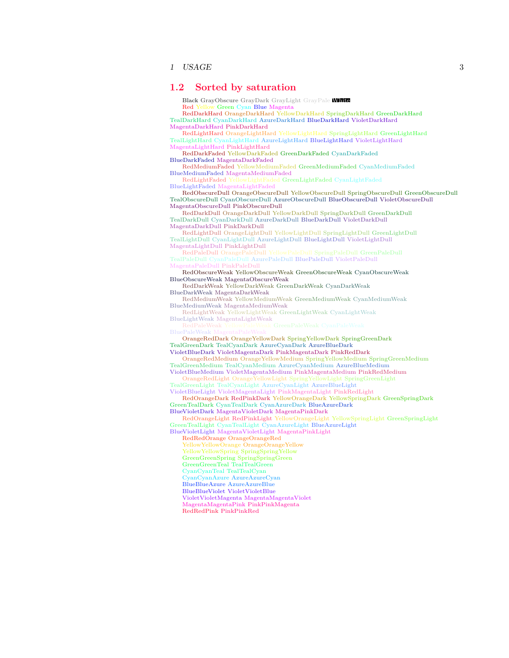1 USAGE 3

### <span id="page-2-0"></span>**1.2 Sorted by saturation**

Black GrayObscure GrayDark GrayLight GrayPale White Red Yellow Green Cyan Blue Magenta

RedDarkHard OrangeDarkHard YellowDarkHard SpringDarkHard GreenDarkHard TealDarkHard CyanDarkHard AzureDarkHard BlueDarkHard VioletDarkHard MagentaDarkHard PinkDarkHard

RedLightHard OrangeLightHard YellowLightHard SpringLightHard GreenLightHard TealLightHard CyanLightHard AzureLightHard BlueLightHard VioletLightHard MagentaLightHard PinkLightHard

RedDarkFaded YellowDarkFaded GreenDarkFaded CyanDarkFaded BlueDarkFaded MagentaDarkFaded

RedMediumFaded YellowMediumFaded GreenMediumFaded CyanMediumFaded BlueMediumFaded MagentaMediumFaded

RedLightFaded YellowLightFaded GreenLightFaded CyanLightFaded BlueLightFaded MagentaLightFaded

RedObscureDull OrangeObscureDull YellowObscureDull SpringObscureDull GreenObscureDull TealObscureDull CyanObscureDull AzureObscureDull BlueObscureDull VioletObscureDull MagentaObscureDull PinkObscureDull

RedDarkDull OrangeDarkDull YellowDarkDull SpringDarkDull GreenDarkDull TealDarkDull CyanDarkDull AzureDarkDull BlueDarkDull VioletDarkDull MagentaDarkDull PinkDarkDull

RedLightDull OrangeLightDull YellowLightDull SpringLightDull GreenLightDull  $\text{TealLight}\bar{\text{D}}$ ull  $\text{CyanLight}\bar{\text{D}}$ ull AzureLightDull BlueLightDull VioletLightDull

MagentaLightDull PinkLightDull TealPaleDull CyanPaleDull AzurePaleDull BluePaleDull VioletPaleDull MagentaPaleDull PinkPaleDull

RedObscureWeak YellowObscureWeak GreenObscureWeak CyanObscureWeak

BlueObscureWeak MagentaObscureWeak RedDarkWeak YellowDarkWeak GreenDarkWeak CyanDarkWeak

BlueDarkWeak MagentaDarkWeak RedMediumWeak YellowMediumWeak GreenMediumWeak CyanMediumWeak

BlueMediumWeak MagentaMediumWeak RedLightWeak YellowLightWeak GreenLightWeak CyanLightWeak

BlueLightWeak MagentaLightWeak

OrangeRedDark OrangeYellowDark SpringYellowDark SpringGreenDark TealGreenDark TealCyanDark AzureCyanDark AzureBlueDark

VioletBlueDark VioletMagentaDark PinkMagentaDark PinkRedDark

OrangeRedMedium OrangeYellowMedium SpringYellowMedium SpringGreenMedium TealGreenMedium TealCyanMedium AzureCyanMedium AzureBlueMedium

VioletBlueMedium VioletMagentaMedium PinkMagentaMedium PinkRedMedium OrangeRedLight OrangeYellowLight SpringYellowLight SpringGreenLight

TealGreenLight TealCyanLight AzureCyanLight AzureBlueLight VioletBlueLight VioletMagentaLight PinkMagentaLight PinkRedLight

RedOrangeDark RedPinkDark YellowOrangeDark YellowSpringDark GreenSpringDark GreenTealDark CyanTealDark CyanAzureDark BlueAzureDark

BlueVioletDark MagentaVioletDark MagentaPinkDark

RedOrangeLight RedPinkLight YellowOrangeLight YellowSpringLight GreenSpringLight GreenTealLight CyanTealLight CyanAzureLight BlueAzureLight

BlueVioletLight MagentaVioletLight MagentaPinkLight

RedRedOrange OrangeOrangeRed

YellowYellowOrange OrangeOrangeYellow

YellowYellowSpring SpringSpringYellow

GreenGreenSpring SpringSpringGreen

GreenGreenTeal TealTealGreen CyanCyanTeal TealTealCyan

CyanCyanAzure AzureAzureCyan

BlueBlueAzure AzureAzureBlue

BlueBlueViolet VioletVioletBlue

VioletVioletMagenta MagentaMagentaViolet

MagentaMagentaPink PinkPinkMagenta RedRedPink PinkPinkRed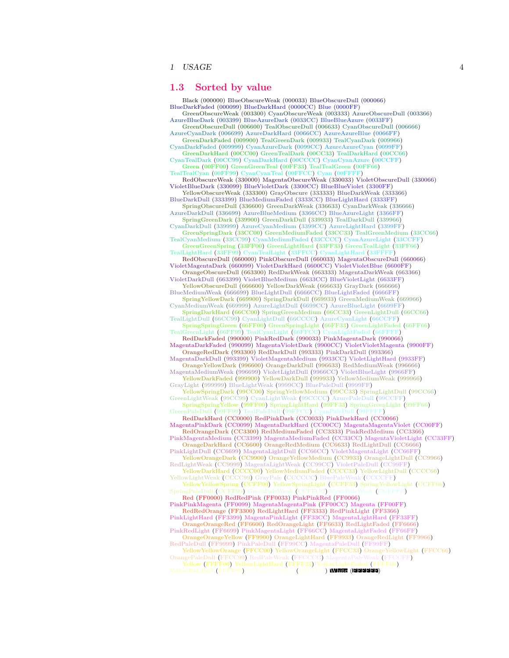1 USAGE 4

### <span id="page-3-0"></span>**1.3 Sorted by value**

Black (000000) BlueObscureWeak (000033) BlueObscureDull (000066) BlueDarkFaded (000099) BlueDarkHard (0000CC) Blue (0000FF) GreenObscureWeak (003300) CyanObscureWeak (003333) AzureObscureDull (003366) AzureBlueDark (003399) BlueAzureDark (0033CC) BlueBlueAzure (0033FF) GreenObscureDull (006600) TealObscureDull (006633) CyanObscureDull (006666) AzureCyanDark (006699) AzureDarkHard (0066CC) AzureAzureBlue (0066FF) GreenDarkFaded (009900) TealGreenDark (009933) TealCyanDark (009966) CyanDarkFaded (009999) CyanAzureDark (0099CC) AzureAzureCyan (0099FF) GreenDarkHard (00CC00) GreenTealDark (00CC33) TealDarkHard (00CC66) CyanTealDark (00CC99) CyanDarkHard (00CCCC) CyanCyanAzure (00CCFF) Green (00FF00) GreenGreenTeal (00FF33) TealTealGreen (00FF66) TealTealCyan (00FF99) CyanCyanTeal (00FFCC) Cyan (00FFFF) RedObscureWeak (330000) MagentaObscureWeak (330033) VioletObscureDull (330066) VioletBlueDark (330099) BlueVioletDark (3300CC) BlueBlueViolet (3300FF) YellowObscureWeak (333300) GrayObscure (333333) BlueDarkWeak (333366) BlueDarkDull (333399) BlueMediumFaded (3333CC) BlueLightHard (3333FF) SpringObscureDull (336600) GreenDarkWeak (336633) CyanDarkWeak (336666) AzureDarkDull (336699) AzureBlueMedium (3366CC) BlueAzureLight (3366FF) SpringGreenDark (339900) GreenDarkDull (339933) TealDarkDull (339966) CyanDarkDull (339999) AzureCyanMedium (3399CC) AzureLightHard (3399FF) GreenSpringDark (33CC00) GreenMediumFaded (33CC33) TealGreenMedium (33CC66)<br>TealCyanMedium (33CC99) CyanMediumFaded (33CCCC) CyanAzureLight (33CCFF)<br>GreenGreenSpring (33FF00) GreenLightHard (33FF33) GreenTealLight (33FF66) VioletMagentaDark (660099) VioletDarkHard (6600CC) VioletVioletBlue (6600FF) OrangeObscureDull (663300) RedDarkWeak (663333) MagentaDarkWeak (663366) VioletDarkDull (663399) VioletBlueMedium (6633CC) BlueVioletLight (6633FF) YellowObscureDull (666600) YellowDarkWeak (666633) GrayDark (666666) BlueMediumWeak (666699) BlueLightDull (6666CC) BlueLightFaded (6666FF) SpringYellowDark (669900) SpringDarkDull (669933) GreenMediumWeak (669966) CyanMediumWeak (669999) AzureLightDull (6699CC) AzureBlueLight (6699FF)<br>SpringDarkHard (66CC00) SpringGreenMedium (66CC33) GreenLightDull (66CC66)<br>TealLightDull (66CC99) CyanLightDull (66CCCC) AzureCyanLight (66CFF)<br>Spring RedDarkFaded (990000) PinkRedDark (990033) PinkMagentaDark (990066) MagentaDarkFaded (990099) MagentaVioletDark (9900CC) VioletVioletMagenta (9900FF) OrangeRedDark (993300) RedDarkDull (993333) PinkDarkDull (993366) MagentaDarkDull (993399) VioletMagentaMedium (9933CC) VioletLightHard (9933FF) OrangeYellowDark (996600) OrangeDarkDull (996633) RedMediumWeak (996666) MagentaMediumWeak (996699) VioletLightDull (9966CC) VioletBlueLight (9966FF)<br>YellowDarkFaded (999900) YellowDarkDull (999933) YellowMediumWeak (999966)<br>GrayLight (9999995) BlueLightWeak (9999CC) BluePaleDull (9999FF)<br>Yello GreenLightWeak (99CC99) CyanLightWeak (99CCCC) AzurePaleDull (99CCFF)<br>SpringSpringYellow (99FF00) SpringLightHard (99FF33) SpringGreenLight (99FF66)<br>GreenPaleDull (99FF99) TealPaleDull (99FFCC) CyanPaleDull (99FFFF) RedDarkHard (CC0000) RedPinkDark (CC0033) PinkDarkHard (CC0066) MagentaPinkDark (CC0099) MagentaDarkHard (CC00CC) MagentaMagentaViolet (CC00FF) RedOrangeDark (CC3300) RedMediumFaded (CC3333) PinkRedMedium (CC3366) PinkMagentaMedium (CC3399) MagentaMediumFaded (CC33CC) MagentaVioletLight (CC33FF) OrangeDarkHard (CC6600) OrangeRedMedium (CC6633) RedLightDull (CC6666) PinkLightDull (CC6699) MagentaLightDull (CC66CC) VioletMagentaLight (CC66FF)<br>YellowOrangeDark (CC9900) OrangeYellowMedium (CC9933) OrangeLightDull (CC9966) RedLightWeak (CC9999) MagentaLightWeak (CC99CC) VioletPaleDull (CC99FF) YellowDarkHard (CCCC00) YellowMediumFaded (CCCC33) YellowLightDull (CCCC66) YellowLightWeak (CCCC99) GrayPale (CCCCCC) BluePaleWeak (CCCCFF) YellowYellowSpring (CCFF00) YellowSpringLight (CCFF33) SpringYellowLight (CCFF66)<br>SpringPaleDull (CCFF99) GreenPaleWeak (CCFFCC) CyanPaleWeak (CCFFFF) Red (FF0000) RedRedPink (FF0033) PinkPinkRed (FF0066) PinkPinkMagenta (FF0099) MagentaMagentaPink (FF00CC) Magenta (FF00FF) RedRedOrange (FF3300) RedLightHard (FF3333) RedPinkLight (FF3366) PinkLightHard (FF3399) MagentaPinkLight (FF33CC) MagentaLightHard (FF33FF) OrangeOrangeRed (FF6600) RedOrangeLight (FF6633) RedLightFaded (FF6666) PinkRedLight (FF6699) PinkMagentaLight (FF66CC) MagentaLightFaded (FF66FF) OrangeOrangeYellow (FF9900) OrangeLightHard (FF9933) OrangeRedLight (FF9966) RedPaleDull (FF9999) PinkPaleDull (FF99CC) MagentaPaleDull (FF99FF) YellowYellowOrange (FFCC00) YellowOrangeLight (FFCC33) OrangeYellowLight (FFCC66)<br>OrangePaleDull (FFCC99) RedPaleWeak (FFCCCC) MagentaPaleWeak (FFCCFF)<br>Yellow Part For State (FFCCTF)<br>YellowPaleDull (FFFF99) YellowPaleWeak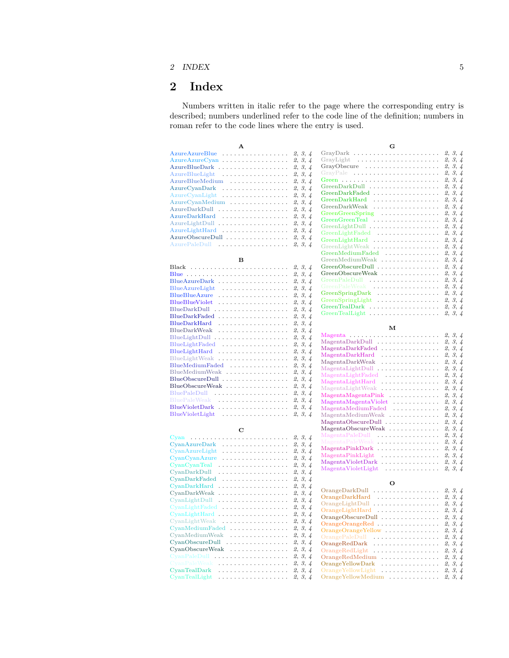## 2 INDEX 5

# <span id="page-4-0"></span>**2 Index**

Numbers written in italic refer to the page where the corresponding entry is described; numbers underlined refer to the code line of the definition; numbers in roman refer to the code lines where the entry is used.

| $\Delta$                                                       |         |         |
|----------------------------------------------------------------|---------|---------|
| AzureAzureBlue                                                 |         | 2, 3, 4 |
| $AzureAzureCyan$                                               |         | 2, 3, 4 |
| AzureBlueDark                                                  |         | 2, 3, 4 |
| AzureBlueLight                                                 |         | 2, 3, 4 |
| AzureBlueMedium                                                |         | 2, 3, 4 |
| $AzureCvanDark$                                                |         | 2, 3, 4 |
| $A$ zure $C$ van $L$ ight $\ldots$                             |         | 2, 3, 4 |
| AzureCyanMedium                                                | 2, 3, 4 |         |
| AzureDarkDull                                                  | 2, 3, 4 |         |
| AzureDarkHard                                                  |         | 2, 3, 4 |
| AzureLightDull                                                 | 2, 3, 4 |         |
| $A$ zure $L$ ight $H$ ard $\ldots \ldots \ldots \ldots \ldots$ |         | 2, 3, 4 |
| AzureObscureDull                                               | 2, 3, 4 |         |
| AzurePaleDull                                                  |         | 2, 3, 4 |
|                                                                |         |         |

### **B**

|                            | 2, 3, 4 |
|----------------------------|---------|
| Blue                       | 2, 3, 4 |
| BlueAzureDark              | 2, 3, 4 |
| BlueAzureLight<br>.        | 2, 3, 4 |
| .<br><b>BlueBlueAzure</b>  | 2, 3, 4 |
| <b>BlueBlueViolet</b><br>. | 2, 3, 4 |
| .<br>BlueDarkDull          | 2, 3, 4 |
| .<br><b>BlueDarkFaded</b>  | 2, 3, 4 |
| <b>BlueDarkHard</b><br>.   | 2, 3, 4 |
| .<br>BlueDarkWeak          | 2, 3, 4 |
| BlueLightDull.<br>.        | 2, 3, 4 |
| .<br>BlueLightFaded        | 2, 3, 4 |
| BlueLightHard<br>.         | 2, 3, 4 |
| BlueLightWeak              | 2, 3, 4 |
| BlueMediumFaded            | 2, 3, 4 |
| BlueMediumWeak             | 2, 3, 4 |
| BlueObscureDull            | 2, 3, 4 |
| $BlueObscureWeak$          | 2, 3, 4 |
|                            | 2, 3, 4 |
| BluePaleWeak               | 2, 3, 4 |
| BlueVioletDark             | 2, 3, 4 |
| BlueVioletLight<br>.       | 2, 3, 4 |

**C**

| .<br>Cvan<br>.      | 2, 3, 4 |
|---------------------|---------|
| CyanAzureDark<br>.  | 2, 3, 4 |
| CyanAzureLight<br>. | 2, 3, 4 |
| CyanCyanAzure<br>.  | 2, 3, 4 |
| CyanCyanTeal<br>.   | 2, 3, 4 |
| CyanDarkDull<br>.   | 2, 3, 4 |
| CyanDarkFaded<br>.  | 2, 3, 4 |
| CyanDarkHard<br>.   | 2, 3, 4 |
| CyanDarkWeak<br>.   | 2, 3, 4 |
| CvanLightDull<br>.  | 2, 3, 4 |
| $CyanLightFaded$    | 2, 3, 4 |
| .<br>CyanLightHard  | 2, 3, 4 |
| .<br>CyanLightWeak  | 2, 3, 4 |
| $Cyan MediumFaded$  | 2, 3, 4 |
| CyanMediumWeak      | 2, 3, 4 |
| $CvanObscureDull$   | 2, 3, 4 |
| $CyanObscureWeak$   | 2, 3, 4 |
| CyanPaleDull<br>.   | 2, 3, 4 |
| CyanPaleWeak<br>.   | 2, 3, 4 |
| CvanTealDark<br>.   | 2, 3, 4 |
| CyanTealLight<br>.  | 2, 3, 4 |
|                     |         |

| G                  |         |
|--------------------|---------|
| GrayDark           | 2, 3, 4 |
|                    | 2, 3, 4 |
|                    | 2, 3, 4 |
| GrayPale           | 2, 3, 4 |
|                    | 2, 3, 4 |
| GreenDarkDull      | 2, 3, 4 |
| GreenDarkFaded     | 2, 3, 4 |
| GreenDarkHard      | 2, 3, 4 |
| GreenDarkWeak      | 2, 3, 4 |
| GreenGreenSpring   | 2, 3, 4 |
| GreenGreenTeal     | 2, 3, 4 |
|                    | 2, 3, 4 |
| GreenLightFaded    | 2, 3, 4 |
| GreenLightHard     | 2, 3, 4 |
| GreenLightWeak     | 2, 3, 4 |
| GreenMediumFaded   | 2, 3, 4 |
| GreenMediumWeak    | 2, 3, 4 |
| $GreenObscureDull$ | 2, 3, 4 |
| GreenObscureWeak   | 2, 3, 4 |
| GreenPaleDull      | 2, 3, 4 |
| GreenPaleWeak      | 2, 3, 4 |
| $GreenSpringDark$  | 2, 3, 4 |
| GreenSpringLight   | 2, 3, 4 |
| GreenTealDark      | 2, 3, 4 |
| GreenTealLight     | 2, 3, 4 |

### **M**

| Magenta $\ldots \ldots \ldots \ldots \ldots \ldots \ldots$ | 2, 3, 4 |
|------------------------------------------------------------|---------|
| MagentaDarkDull<br>.                                       | 2, 3, 4 |
| .<br>MagentaDarkFaded                                      | 2, 3, 4 |
| .<br>$Magenta$ Dark $Hard$                                 | 2, 3, 4 |
| .<br>MagentaDarkWeak                                       | 2, 3, 4 |
| .<br>MagentaLightDull                                      | 2, 3, 4 |
| .<br>MagentaLightFaded                                     | 2, 3, 4 |
| .<br>MagentaLightHard                                      | 2, 3, 4 |
| .<br>MagentaLightWeak                                      | 2, 3, 4 |
| .<br>MagentaMagentaPink                                    | 2, 3, 4 |
| MagentaMagentaViolet<br>.                                  | 2, 3, 4 |
| MagentaMediumFaded                                         | 2, 3, 4 |
| MagentaMediumWeak                                          | 2, 3, 4 |
|                                                            | 2, 3, 4 |
|                                                            | 2, 3, 4 |
| .<br>MagentaPaleDull                                       | 2, 3, 4 |
| .<br>MagentaPaleWeak                                       | 2, 3, 4 |
| .<br>MagentaPinkDark                                       | 2, 3, 4 |
| .<br>MagentaPinkLight                                      | 2, 3, 4 |
| .<br>MagentaVioletDark                                     | 2, 3, 4 |
| .<br>MagentaVioletLight                                    | 2, 3, 4 |

#### **O**

| .<br>OrangeDarkDull     | 2, 3, 4 |
|-------------------------|---------|
| .<br>OrangeDarkHard     | 2, 3, 4 |
| OrangeLightDull<br>.    | 2, 3, 4 |
| OrangeLightHard<br>.    | 2, 3, 4 |
| OrangeObscureDull       | 2, 3, 4 |
|                         | 2, 3, 4 |
| OrangeOrangeYellow      | 2, 3, 4 |
| OrangePaleDull<br>.     | 2, 3, 4 |
| OrangeRedDark<br>.      | 2, 3, 4 |
| OrangeRedLight<br>.     | 2, 3, 4 |
| .<br>OrangeRedMedium    | 2, 3, 4 |
| OrangeYellowDark<br>.   | 2, 3, 4 |
| OrangeYellowLight<br>.  | 2, 3, 4 |
| OrangeYellowMedium<br>. | 2, 3, 4 |